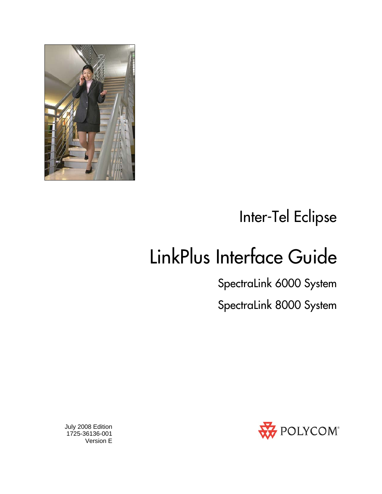

Inter-Tel Eclipse

# LinkPlus Interface Guide

SpectraLink 6000 System

SpectraLink 8000 System



 July 2008 Edition 1725-36136-001 Version E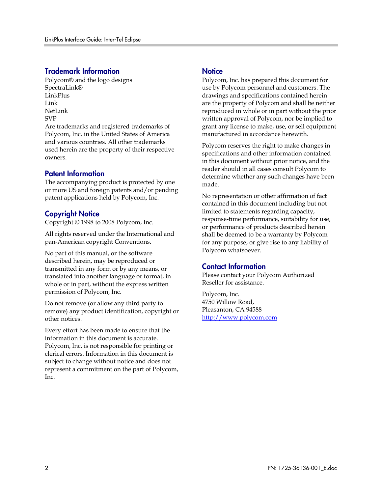#### Trademark Information

Polycom® and the logo designs SpectraLink® LinkPlus Link NetLink SVP

Are trademarks and registered trademarks of Polycom, Inc. in the United States of America and various countries. All other trademarks used herein are the property of their respective owners.

#### Patent Information

The accompanying product is protected by one or more US and foreign patents and/or pending patent applications held by Polycom, Inc.

#### Copyright Notice

Copyright © 1998 to 2008 Polycom, Inc.

All rights reserved under the International and pan-American copyright Conventions.

No part of this manual, or the software described herein, may be reproduced or transmitted in any form or by any means, or translated into another language or format, in whole or in part, without the express written permission of Polycom, Inc.

Do not remove (or allow any third party to remove) any product identification, copyright or other notices.

Every effort has been made to ensure that the information in this document is accurate. Polycom, Inc. is not responsible for printing or clerical errors. Information in this document is subject to change without notice and does not represent a commitment on the part of Polycom, Inc.

#### **Notice**

Polycom, Inc. has prepared this document for use by Polycom personnel and customers. The drawings and specifications contained herein are the property of Polycom and shall be neither reproduced in whole or in part without the prior written approval of Polycom, nor be implied to grant any license to make, use, or sell equipment manufactured in accordance herewith.

Polycom reserves the right to make changes in specifications and other information contained in this document without prior notice, and the reader should in all cases consult Polycom to determine whether any such changes have been made.

No representation or other affirmation of fact contained in this document including but not limited to statements regarding capacity, response-time performance, suitability for use, or performance of products described herein shall be deemed to be a warranty by Polycom for any purpose, or give rise to any liability of Polycom whatsoever.

#### Contact Information

Please contact your Polycom Authorized Reseller for assistance.

Polycom, Inc. 4750 Willow Road, Pleasanton, CA 94588 [http://www.polycom.com](http://www.polycom.com/)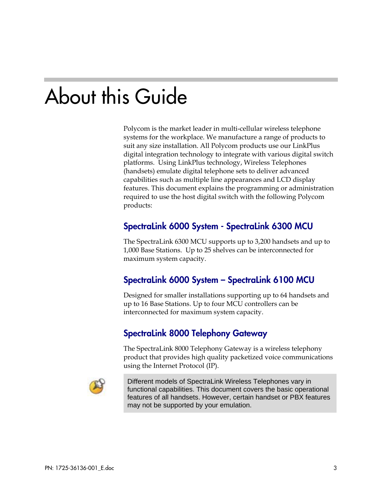# About this Guide

Polycom is the market leader in multi-cellular wireless telephone systems for the workplace. We manufacture a range of products to suit any size installation. All Polycom products use our LinkPlus digital integration technology to integrate with various digital switch platforms. Using LinkPlus technology, Wireless Telephones (handsets) emulate digital telephone sets to deliver advanced capabilities such as multiple line appearances and LCD display features. This document explains the programming or administration required to use the host digital switch with the following Polycom products:

### SpectraLink 6000 System - SpectraLink 6300 MCU

The SpectraLink 6300 MCU supports up to 3,200 handsets and up to 1,000 Base Stations. Up to 25 shelves can be interconnected for maximum system capacity.

### SpectraLink 6000 System – SpectraLink 6100 MCU

Designed for smaller installations supporting up to 64 handsets and up to 16 Base Stations. Up to four MCU controllers can be interconnected for maximum system capacity.

### SpectraLink 8000 Telephony Gateway

The SpectraLink 8000 Telephony Gateway is a wireless telephony product that provides high quality packetized voice communications using the Internet Protocol (IP).



Different models of SpectraLink Wireless Telephones vary in functional capabilities. This document covers the basic operational features of all handsets. However, certain handset or PBX features may not be supported by your emulation.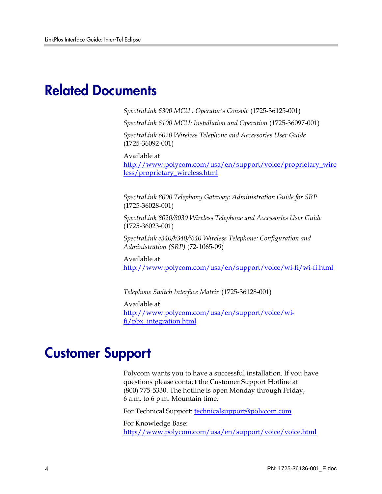## Related Documents

*SpectraLink 6300 MCU : Operator's Console* (1725-36125-001)

*SpectraLink 6100 MCU: Installation and Operation* (1725-36097-001)

*SpectraLink 6020 Wireless Telephone and Accessories User Guide*  (1725-36092-001)

Available at

[http://www.polycom.com/usa/en/support/voice/proprietary\\_wire](http://www.polycom.com/usa/en/support/voice/proprietary_wireless/proprietary_wireless.html) [less/proprietary\\_wireless.html](http://www.polycom.com/usa/en/support/voice/proprietary_wireless/proprietary_wireless.html)

*SpectraLink 8000 Telephony Gateway: Administration Guide for SRP*  (1725-36028-001)

*SpectraLink 8020/8030 Wireless Telephone and Accessories User Guide*  (1725-36023-001)

*SpectraLink e340/h340/i640 Wireless Telephone: Configuration and Administration (SRP)* (72-1065-09)

Available at <http://www.polycom.com/usa/en/support/voice/wi-fi/wi-fi.html>

*Telephone Switch Interface Matrix* (1725-36128-001)

Available at [http://www.polycom.com/usa/en/support/voice/wi](http://www.polycom.com/usa/en/support/voice/wi-fi/pbx_integration.html)[fi/pbx\\_integration.html](http://www.polycom.com/usa/en/support/voice/wi-fi/pbx_integration.html)

## Customer Support

Polycom wants you to have a successful installation. If you have questions please contact the Customer Support Hotline at (800) 775-5330. The hotline is open Monday through Friday, 6 a.m. to 6 p.m. Mountain time.

For Technical Support: [technicalsupport@polycom.com](mailto:technicalsupport@polycom.com)

For Knowledge Base: <http://www.polycom.com/usa/en/support/voice/voice.html>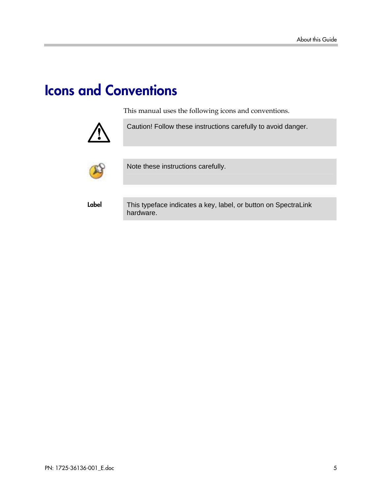# Icons and Conventions

This manual uses the following icons and conventions.



Caution! Follow these instructions carefully to avoid danger.



Note these instructions carefully.

Label This typeface indicates a key, label, or button on SpectraLink hardware.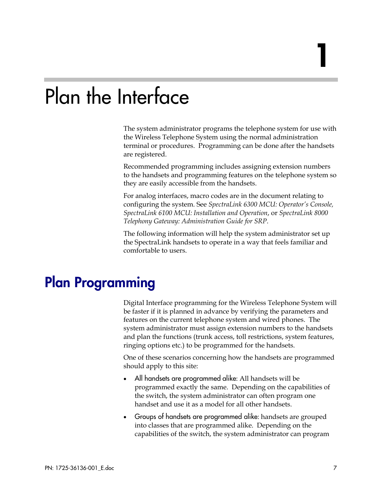# Plan the Interface

The system administrator programs the telephone system for use with the Wireless Telephone System using the normal administration terminal or procedures. Programming can be done after the handsets are registered.

Recommended programming includes assigning extension numbers to the handsets and programming features on the telephone system so they are easily accessible from the handsets.

For analog interfaces, macro codes are in the document relating to configuring the system. See *SpectraLink 6300 MCU: Operator's Console, SpectraLink 6100 MCU: Installation and Operation*, or *SpectraLink 8000 Telephony Gateway: Administration Guide for SRP*.

The following information will help the system administrator set up the SpectraLink handsets to operate in a way that feels familiar and comfortable to users.

## Plan Programming

Digital Interface programming for the Wireless Telephone System will be faster if it is planned in advance by verifying the parameters and features on the current telephone system and wired phones. The system administrator must assign extension numbers to the handsets and plan the functions (trunk access, toll restrictions, system features, ringing options etc.) to be programmed for the handsets.

One of these scenarios concerning how the handsets are programmed should apply to this site:

- All handsets are programmed alike: All handsets will be programmed exactly the same. Depending on the capabilities of the switch, the system administrator can often program one handset and use it as a model for all other handsets.
- Groups of handsets are programmed alike: handsets are grouped into classes that are programmed alike. Depending on the capabilities of the switch, the system administrator can program

1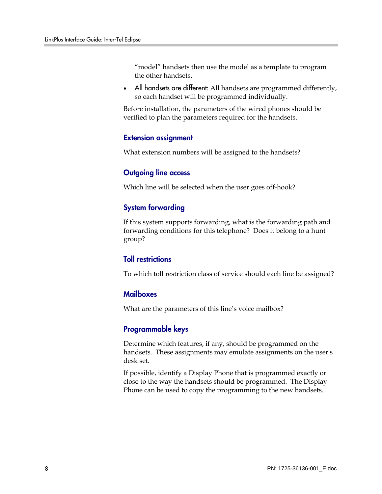"model" handsets then use the model as a template to program the other handsets.

All handsets are different: All handsets are programmed differently, so each handset will be programmed individually.

Before installation, the parameters of the wired phones should be verified to plan the parameters required for the handsets.

#### Extension assignment

What extension numbers will be assigned to the handsets?

#### Outgoing line access

Which line will be selected when the user goes off-hook?

#### System forwarding

If this system supports forwarding, what is the forwarding path and forwarding conditions for this telephone? Does it belong to a hunt group?

#### Toll restrictions

To which toll restriction class of service should each line be assigned?

#### **Mailboxes**

What are the parameters of this line's voice mailbox?

#### Programmable keys

Determine which features, if any, should be programmed on the handsets. These assignments may emulate assignments on the user's desk set.

If possible, identify a Display Phone that is programmed exactly or close to the way the handsets should be programmed. The Display Phone can be used to copy the programming to the new handsets.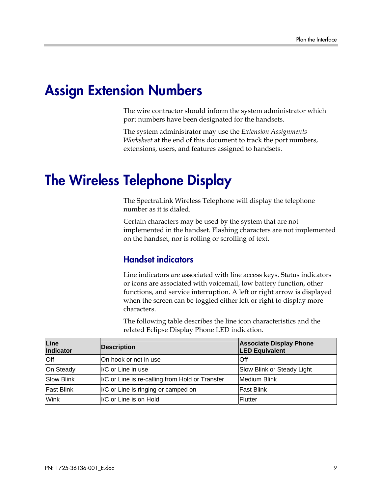## Assign Extension Numbers

The wire contractor should inform the system administrator which port numbers have been designated for the handsets.

The system administrator may use the *Extension Assignments Worksheet* at the end of this document to track the port numbers, extensions, users, and features assigned to handsets.

## The Wireless Telephone Display

The SpectraLink Wireless Telephone will display the telephone number as it is dialed.

Certain characters may be used by the system that are not implemented in the handset. Flashing characters are not implemented on the handset, nor is rolling or scrolling of text.

### Handset indicators

Line indicators are associated with line access keys. Status indicators or icons are associated with voicemail, low battery function, other functions, and service interruption. A left or right arrow is displayed when the screen can be toggled either left or right to display more characters.

The following table describes the line icon characteristics and the related Eclipse Display Phone LED indication.

| Line<br><b>Indicator</b> | <b>Description</b>                              | <b>Associate Display Phone</b><br><b>LED Equivalent</b> |
|--------------------------|-------------------------------------------------|---------------------------------------------------------|
| Off                      | On hook or not in use                           | <b>Off</b>                                              |
| On Steady                | II/C or Line in use                             | Slow Blink or Steady Light                              |
| <b>Slow Blink</b>        | I/C or Line is re-calling from Hold or Transfer | Medium Blink                                            |
| <b>Fast Blink</b>        | I/C or Line is ringing or camped on             | <b>Fast Blink</b>                                       |
| Wink                     | I/C or Line is on Hold                          | IFlutter                                                |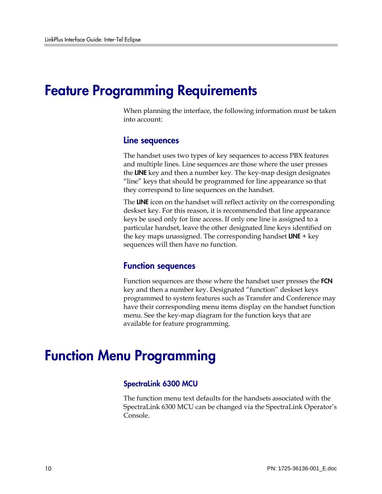### Feature Programming Requirements

When planning the interface, the following information must be taken into account:

#### Line sequences

The handset uses two types of key sequences to access PBX features and multiple lines. Line sequences are those where the user presses the LINE key and then a number key. The key-map design designates "line" keys that should be programmed for line appearance so that they correspond to line sequences on the handset.

The LINE icon on the handset will reflect activity on the corresponding deskset key. For this reason, it is recommended that line appearance keys be used only for line access. If only one line is assigned to a particular handset, leave the other designated line keys identified on the key maps unassigned. The corresponding handset  $LINE + key$ sequences will then have no function.

#### Function sequences

Function sequences are those where the handset user presses the FCN key and then a number key. Designated "function" deskset keys programmed to system features such as Transfer and Conference may have their corresponding menu items display on the handset function menu. See the key-map diagram for the function keys that are available for feature programming.

### Function Menu Programming

#### SpectraLink 6300 MCU

The function menu text defaults for the handsets associated with the SpectraLink 6300 MCU can be changed via the SpectraLink Operator's Console.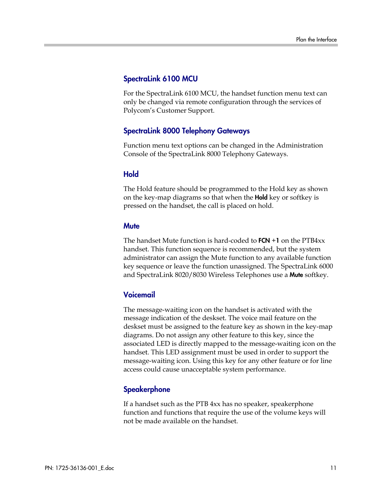#### SpectraLink 6100 MCU

For the SpectraLink 6100 MCU, the handset function menu text can only be changed via remote configuration through the services of Polycom's Customer Support.

#### SpectraLink 8000 Telephony Gateways

Function menu text options can be changed in the Administration Console of the SpectraLink 8000 Telephony Gateways.

#### Hold

The Hold feature should be programmed to the Hold key as shown on the key-map diagrams so that when the **Hold** key or softkey is pressed on the handset, the call is placed on hold.

#### **Mute**

The handset Mute function is hard-coded to  $FCN + 1$  on the  $PTB4xx$ handset. This function sequence is recommended, but the system administrator can assign the Mute function to any available function key sequence or leave the function unassigned. The SpectraLink 6000 and SpectraLink 8020/8030 Wireless Telephones use a Mute softkey.

#### Voicemail

The message-waiting icon on the handset is activated with the message indication of the deskset. The voice mail feature on the deskset must be assigned to the feature key as shown in the key-map diagrams. Do not assign any other feature to this key, since the associated LED is directly mapped to the message-waiting icon on the handset. This LED assignment must be used in order to support the message-waiting icon. Using this key for any other feature or for line access could cause unacceptable system performance.

#### **Speakerphone**

If a handset such as the PTB 4xx has no speaker, speakerphone function and functions that require the use of the volume keys will not be made available on the handset.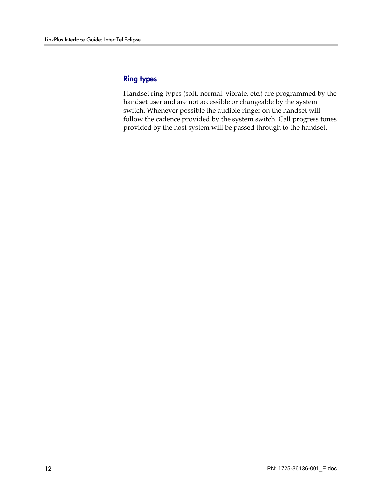#### Ring types

Handset ring types (soft, normal, vibrate, etc.) are programmed by the handset user and are not accessible or changeable by the system switch. Whenever possible the audible ringer on the handset will follow the cadence provided by the system switch. Call progress tones provided by the host system will be passed through to the handset.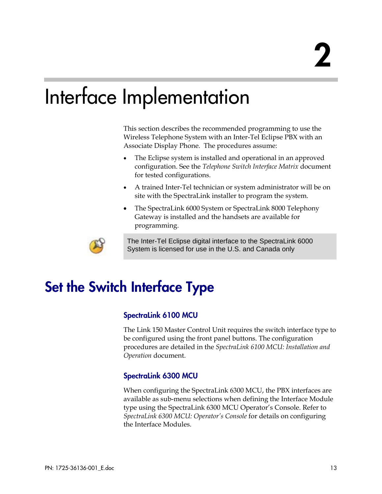# Interface Implementation

This section describes the recommended programming to use the Wireless Telephone System with an Inter-Tel Eclipse PBX with an Associate Display Phone. The procedures assume:

- The Eclipse system is installed and operational in an approved configuration. See the *Telephone Switch Interface Matrix* document for tested configurations.
- A trained Inter-Tel technician or system administrator will be on site with the SpectraLink installer to program the system.
- The SpectraLink 6000 System or SpectraLink 8000 Telephony Gateway is installed and the handsets are available for programming.



The Inter-Tel Eclipse digital interface to the SpectraLink 6000 System is licensed for use in the U.S. and Canada only

# Set the Switch Interface Type

#### SpectraLink 6100 MCU

The Link 150 Master Control Unit requires the switch interface type to be configured using the front panel buttons. The configuration procedures are detailed in the *SpectraLink 6100 MCU: Installation and Operation* document.

#### SpectraLink 6300 MCU

When configuring the SpectraLink 6300 MCU, the PBX interfaces are available as sub-menu selections when defining the Interface Module type using the SpectraLink 6300 MCU Operator's Console. Refer to *SpectraLink 6300 MCU: Operator's Console* for details on configuring the Interface Modules.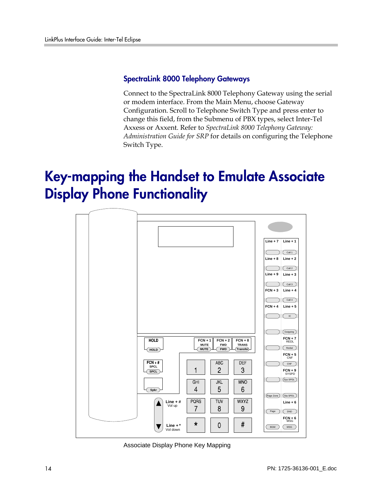#### SpectraLink 8000 Telephony Gateways

Connect to the SpectraLink 8000 Telephony Gateway using the serial or modem interface. From the Main Menu, choose Gateway Configuration. Scroll to Telephone Switch Type and press enter to change this field, from the Submenu of PBX types, select Inter-Tel Axxess or Axxent. Refer to *SpectraLink 8000 Telephony Gateway: Administration Guide for SRP* for details on configuring the Telephone Switch Type.

# Key-mapping the Handset to Emulate Associate Display Phone Functionality



Associate Display Phone Key Mapping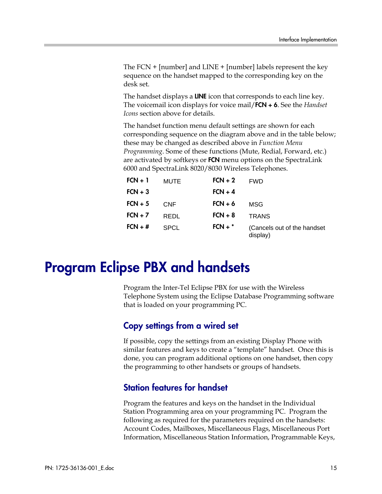The FCN + [number] and LINE + [number] labels represent the key sequence on the handset mapped to the corresponding key on the desk set.

The handset displays a **LINE** icon that corresponds to each line key. The voicemail icon displays for voice mail/FCN + 6. See the *Handset Icons* section above for details.

The handset function menu default settings are shown for each corresponding sequence on the diagram above and in the table below; these may be changed as described above in *Function Menu Programming*. Some of these functions (Mute, Redial, Forward, etc.) are activated by softkeys or **FCN** menu options on the SpectraLink 6000 and SpectraLink 8020/8030 Wireless Telephones.

| $FCN + 1$ | MUTE        | $FCN + 2$ | <b>FWD</b>                               |
|-----------|-------------|-----------|------------------------------------------|
| $FCN + 3$ |             | $FCN + 4$ |                                          |
| $FCN + 5$ | CNF         | $FCN + 6$ | MSG                                      |
| $FCN + 7$ | REDL        | $FCN + 8$ | <b>TRANS</b>                             |
| $FCN + #$ | <b>SPCL</b> | $FCN + *$ | (Cancels out of the handset)<br>display) |

## Program Eclipse PBX and handsets

Program the Inter-Tel Eclipse PBX for use with the Wireless Telephone System using the Eclipse Database Programming software that is loaded on your programming PC.

### Copy settings from a wired set

If possible, copy the settings from an existing Display Phone with similar features and keys to create a "template" handset. Once this is done, you can program additional options on one handset, then copy the programming to other handsets or groups of handsets.

### Station features for handset

Program the features and keys on the handset in the Individual Station Programming area on your programming PC. Program the following as required for the parameters required on the handsets: Account Codes, Mailboxes, Miscellaneous Flags, Miscellaneous Port Information, Miscellaneous Station Information, Programmable Keys,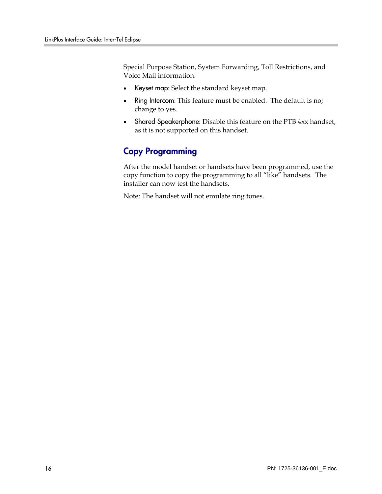Special Purpose Station, System Forwarding, Toll Restrictions, and Voice Mail information.

- Keyset map: Select the standard keyset map.
- Ring Intercom: This feature must be enabled. The default is no; change to yes.
- Shared Speakerphone: Disable this feature on the PTB 4xx handset, as it is not supported on this handset.

### Copy Programming

After the model handset or handsets have been programmed, use the copy function to copy the programming to all "like" handsets. The installer can now test the handsets.

Note: The handset will not emulate ring tones.